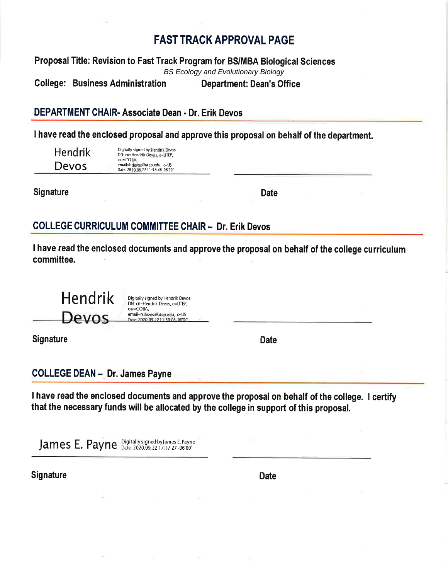# **FAST TRACK APPROVAL PAGE**

Proposal Title: Revision to Fast Track Program for BS/MBA Biological Sciences **BS Ecology and Evolutionary Biology College: Business Administration Department: Dean's Office** 

DEPARTMENT CHAIR- Associate Dean - Dr. Erik Devos

I have read the enclosed proposal and approve this proposal on behalf of the department.

**Hendrik** Devos

Digitally signed by Hendrik Devos<br>DN: cn=Hendrik Devos, o=UTEP, ou=COBA, email=hdevos@utep.edu, c=US Date: 2020.09.22 11:58:46 06'00

**Signature** 

**Date** 

## **COLLEGE CURRICULUM COMMITTEE CHAIR - Dr. Erik Devos**

I have read the enclosed documents and approve the proposal on behalf of the college curriculum committee.

**Hendrik** Digitally signed by Hendrik Devos DN: cn=Hendrik Devos, o=UTEP, ou=COBA, email=hdevos@utep.edu, c=US Devos ate: 2020 09 22 11:59:08

**Signature** 

**Date** 

**COLLEGE DEAN - Dr. James Payne** 

I have read the enclosed documents and approve the proposal on behalf of the college. I certify that the necessary funds will be allocated by the college in support of this proposal.

James E. Payne Digitally signed by James E. Payne

**Signature** 

**Date**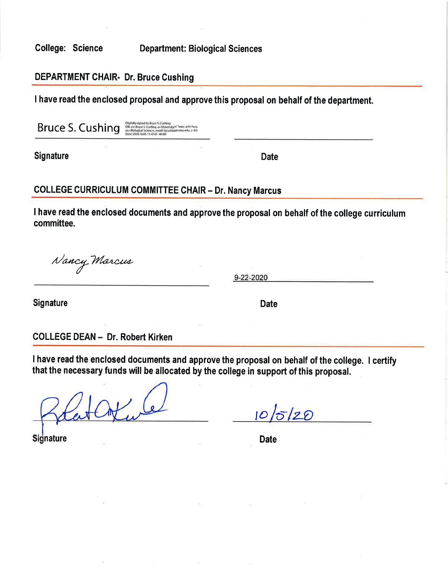**College: Science** 

**Department: Biological Sciences** 

### **DEPARTMENT CHAIR- Dr. Bruce Cushing**

I have read the enclosed proposal and approve this proposal on behalf of the department.

Bruce S. Cushing

Digitally signed by Bruce S. Cushing<br>DN: cm-flinee S. Cushing, or University of Texas at El Paso<br>ou=Biological Sciences, email chrushing@utep.edu, c=US<br>Date: 2020.10.05 11:47:01-06:00'

**Signature** 

**Date** 

### **COLLEGE CURRICULUM COMMITTEE CHAIR - Dr. Nancy Marcus**

I have read the enclosed documents and approve the proposal on behalf of the college curriculum committee.

Nancy Marcus

9-22-2020

Signature

**Date** 

**COLLEGE DEAN - Dr. Robert Kirken** 

I have read the enclosed documents and approve the proposal on behalf of the college. I certify that the necessary funds will be allocated by the college in support of this proposal.

 $10/5/20$ 

**Signature** 

**Date**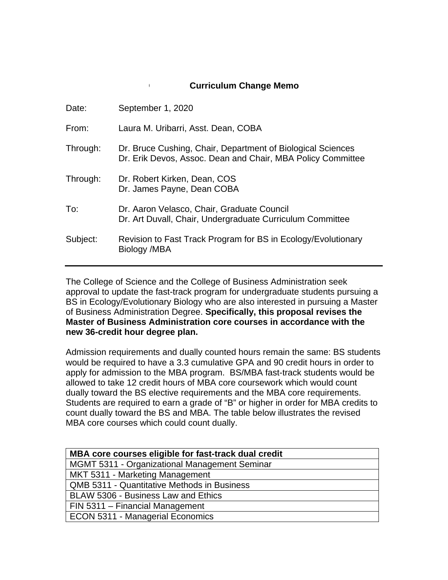#### **Curriculum Change Memo**

| Date:    | September 1, 2020                                                                                                          |
|----------|----------------------------------------------------------------------------------------------------------------------------|
| From:    | Laura M. Uribarri, Asst. Dean, COBA                                                                                        |
| Through: | Dr. Bruce Cushing, Chair, Department of Biological Sciences<br>Dr. Erik Devos, Assoc. Dean and Chair, MBA Policy Committee |
| Through: | Dr. Robert Kirken, Dean, COS<br>Dr. James Payne, Dean COBA                                                                 |
| To:      | Dr. Aaron Velasco, Chair, Graduate Council<br>Dr. Art Duvall, Chair, Undergraduate Curriculum Committee                    |
| Subject: | Revision to Fast Track Program for BS in Ecology/Evolutionary<br>Biology /MBA                                              |
|          |                                                                                                                            |

The College of Science and the College of Business Administration seek approval to update the fast-track program for undergraduate students pursuing a BS in Ecology/Evolutionary Biology who are also interested in pursuing a Master of Business Administration Degree. **Specifically, this proposal revises the Master of Business Administration core courses in accordance with the new 36-credit hour degree plan.**

Admission requirements and dually counted hours remain the same: BS students would be required to have a 3.3 cumulative GPA and 90 credit hours in order to apply for admission to the MBA program. BS/MBA fast-track students would be allowed to take 12 credit hours of MBA core coursework which would count dually toward the BS elective requirements and the MBA core requirements. Students are required to earn a grade of "B" or higher in order for MBA credits to count dually toward the BS and MBA. The table below illustrates the revised MBA core courses which could count dually.

| MBA core courses eligible for fast-track dual credit |
|------------------------------------------------------|
| MGMT 5311 - Organizational Management Seminar        |
| MKT 5311 - Marketing Management                      |
| <b>QMB 5311 - Quantitative Methods in Business</b>   |
| BLAW 5306 - Business Law and Ethics                  |
| FIN 5311 - Financial Management                      |
| <b>ECON 5311 - Managerial Economics</b>              |